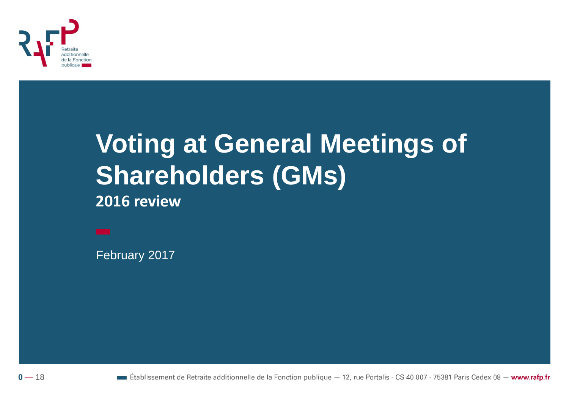

# **Voting at General Meetings of Shareholders (GMs)**

2016 review

February 2017



**Etablissement de Retraite additionnelle de la Fonction publique**  $-12$ , rue Portalis - CS 40 007 - 75381 Paris Cedex 08 - www.rafp.fr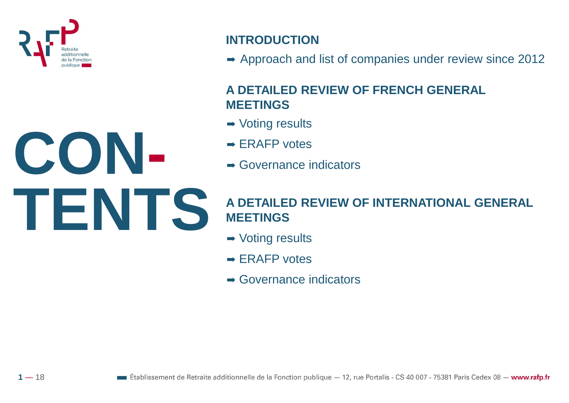

**CON-**

**TENTS**

 $1 - 18$ 

#### **INTRODUCTION**

 $\rightarrow$  Approach and list of companies under review since 2012

#### **A DETAILED REVIEW OF FRENCH GENERAL MEETINGS**

- **→ Voting results**
- $\rightarrow$  ERAFP votes
- $\rightarrow$  Governance indicators

#### **A DETAILED REVIEW OF INTERNATIONAL GENERAL MEETINGS**

- **→ Voting results**
- $\rightarrow$  ERAFP votes
- **→ Governance indicators**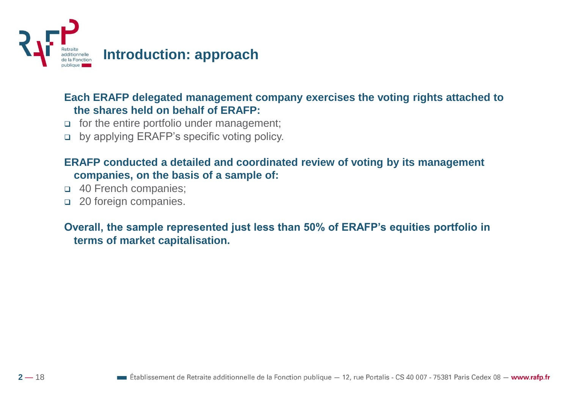

#### **Each ERAFP delegated management company exercises the voting rights attached to the shares held on behalf of ERAFP:**

- $\Box$  for the entire portfolio under management;
- by applying ERAFP's specific voting policy.

#### **ERAFP conducted a detailed and coordinated review of voting by its management companies, on the basis of a sample of:**

- $\Box$  40 French companies;
- **20 foreign companies.**

**Overall, the sample represented just less than 50% of ERAFP's equities portfolio in terms of market capitalisation.**

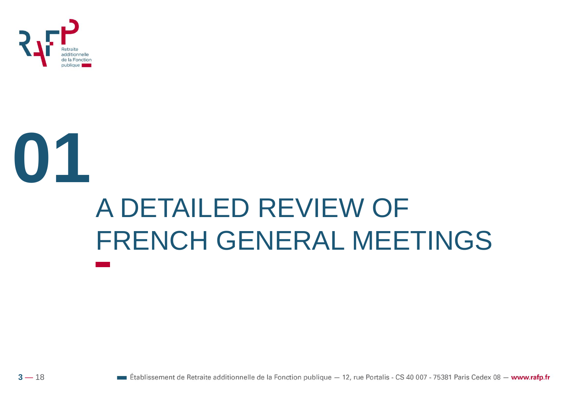

# 01 A DETAILED REVIEW OF **FRENCH GENERAL MEETINGS**

 $\blacksquare$  Établissement de Retraite additionnelle de la Fonction publique  $-12$ , rue Portalis - CS 40 007 - 75381 Paris Cedex 08  $-$  www.rafp.fr

 $3 - 18$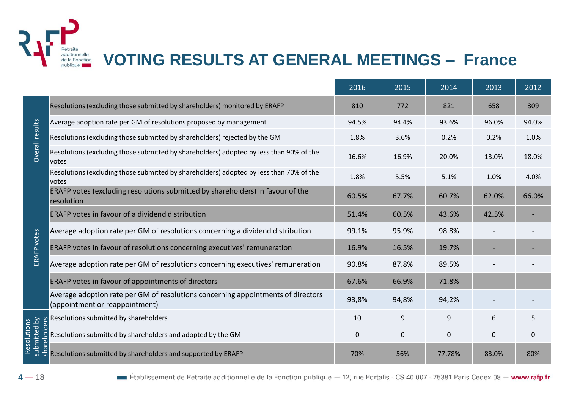

## **VOTING RESULTS AT GENERAL MEETINGS – France**

|                                         |                                                                                                                    | 2016  | 2015        | 2014        | 2013     | 2012        |
|-----------------------------------------|--------------------------------------------------------------------------------------------------------------------|-------|-------------|-------------|----------|-------------|
| Overall results                         | Resolutions (excluding those submitted by shareholders) monitored by ERAFP                                         | 810   | 772         | 821         | 658      | 309         |
|                                         | Average adoption rate per GM of resolutions proposed by management                                                 | 94.5% | 94.4%       | 93.6%       | 96.0%    | 94.0%       |
|                                         | Resolutions (excluding those submitted by shareholders) rejected by the GM                                         | 1.8%  | 3.6%        | 0.2%        | 0.2%     | 1.0%        |
|                                         | Resolutions (excluding those submitted by shareholders) adopted by less than 90% of the<br><b>votes</b>            | 16.6% | 16.9%       | 20.0%       | 13.0%    | 18.0%       |
|                                         | Resolutions (excluding those submitted by shareholders) adopted by less than 70% of the<br>votes                   | 1.8%  | 5.5%        | 5.1%        | 1.0%     | 4.0%        |
| ERAFP votes                             | ERAFP votes (excluding resolutions submitted by shareholders) in favour of the<br>resolution                       | 60.5% | 67.7%       | 60.7%       | 62.0%    | 66.0%       |
|                                         | ERAFP votes in favour of a dividend distribution                                                                   | 51.4% | 60.5%       | 43.6%       | 42.5%    |             |
|                                         | Average adoption rate per GM of resolutions concerning a dividend distribution                                     | 99.1% | 95.9%       | 98.8%       |          |             |
|                                         | ERAFP votes in favour of resolutions concerning executives' remuneration                                           | 16.9% | 16.5%       | 19.7%       |          |             |
|                                         | Average adoption rate per GM of resolutions concerning executives' remuneration                                    | 90.8% | 87.8%       | 89.5%       |          |             |
|                                         | ERAFP votes in favour of appointments of directors                                                                 | 67.6% | 66.9%       | 71.8%       |          |             |
|                                         | Average adoption rate per GM of resolutions concerning appointments of directors<br>(appointment or reappointment) | 93,8% | 94,8%       | 94,2%       |          |             |
| Resolutions<br>submitted by<br>eholders | Resolutions submitted by shareholders                                                                              | 10    | 9           | 9           | 6        | 5           |
|                                         | Resolutions submitted by shareholders and adopted by the GM                                                        | 0     | $\mathbf 0$ | $\mathbf 0$ | $\Omega$ | $\mathbf 0$ |
|                                         | Resolutions submitted by shareholders and supported by ERAFP                                                       | 70%   | 56%         | 77.78%      | 83.0%    | 80%         |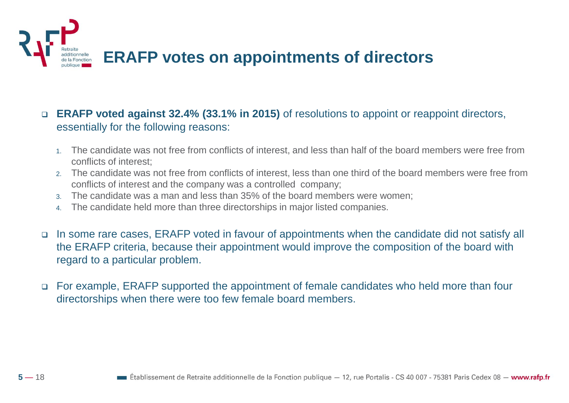

- **ERAFP voted against 32.4% (33.1% in 2015)** of resolutions to appoint or reappoint directors, essentially for the following reasons:
	- 1. The candidate was not free from conflicts of interest, and less than half of the board members were free from conflicts of interest;
	- 2. The candidate was not free from conflicts of interest, less than one third of the board members were free from conflicts of interest and the company was a controlled company;
	- 3. The candidate was a man and less than 35% of the board members were women;
	- 4. The candidate held more than three directorships in major listed companies.
- In some rare cases, ERAFP voted in favour of appointments when the candidate did not satisfy all the ERAFP criteria, because their appointment would improve the composition of the board with regard to a particular problem.
- For example, ERAFP supported the appointment of female candidates who held more than four directorships when there were too few female board members.

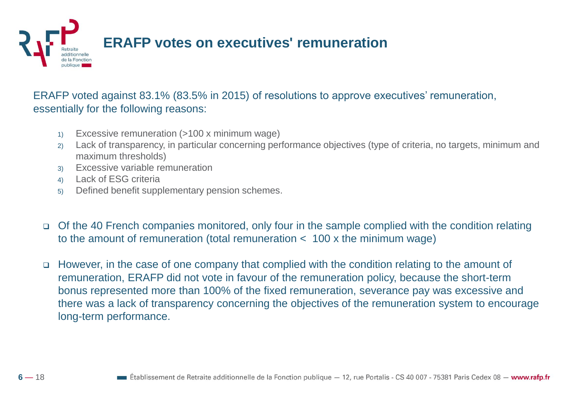

ERAFP voted against 83.1% (83.5% in 2015) of resolutions to approve executives' remuneration, essentially for the following reasons:

- 1) Excessive remuneration (>100 x minimum wage)
- 2) Lack of transparency, in particular concerning performance objectives (type of criteria, no targets, minimum and maximum thresholds)
- 3) Excessive variable remuneration
- 4) Lack of ESG criteria
- 5) Defined benefit supplementary pension schemes.
- Of the 40 French companies monitored, only four in the sample complied with the condition relating to the amount of remuneration (total remuneration < 100 x the minimum wage)
- However, in the case of one company that complied with the condition relating to the amount of remuneration, ERAFP did not vote in favour of the remuneration policy, because the short-term bonus represented more than 100% of the fixed remuneration, severance pay was excessive and there was a lack of transparency concerning the objectives of the remuneration system to encourage long-term performance.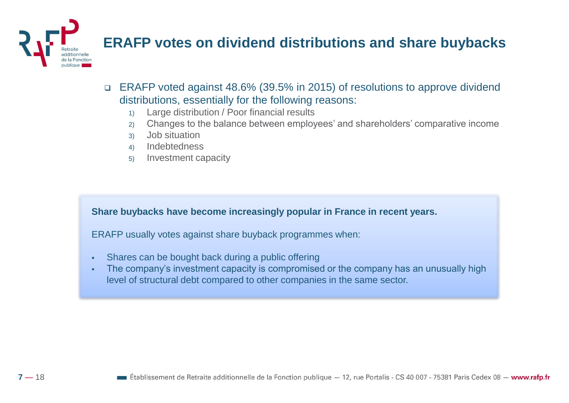

## **ERAFP votes on dividend distributions and share buybacks**

- ERAFP voted against 48.6% (39.5% in 2015) of resolutions to approve dividend distributions, essentially for the following reasons:
	- 1) Large distribution / Poor financial results
	- 2) Changes to the balance between employees' and shareholders' comparative income
	- 3) Job situation
	- 4) Indebtedness
	- 5) Investment capacity

**Share buybacks have become increasingly popular in France in recent years.** 

ERAFP usually votes against share buyback programmes when:

- Shares can be bought back during a public offering
- The company's investment capacity is compromised or the company has an unusually high level of structural debt compared to other companies in the same sector.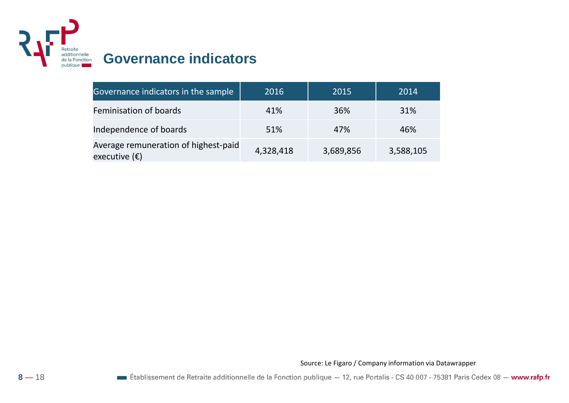

#### **Governance indicators**

| Governance indicators in the sample                            | 2016      | 2015      | 2014      |
|----------------------------------------------------------------|-----------|-----------|-----------|
| Feminisation of boards                                         | 41%       | 36%       | 31%       |
| Independence of boards                                         | 51%       | 47%       | 46%       |
| Average remuneration of highest-paid<br>executive $(\epsilon)$ | 4,328,418 | 3,689,856 | 3,588,105 |

Source: Le Figaro / Company information via Datawrapper

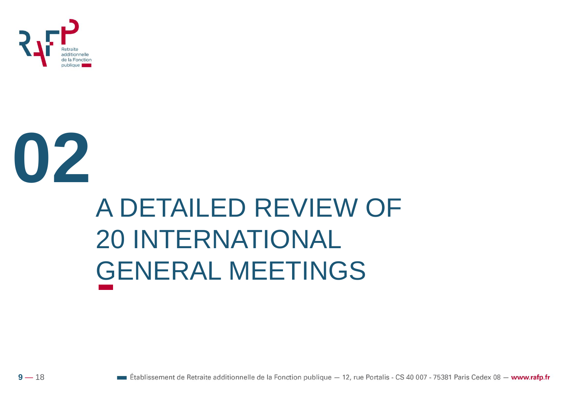



# A DETAILED REVIEW OF **20 INTERNATIONAL GENERAL MEETINGS**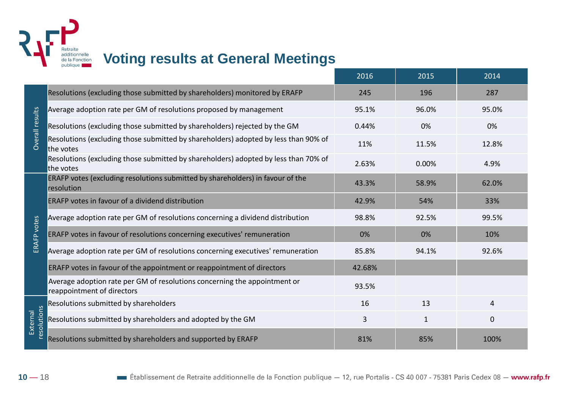

#### **Voting results at General Meetings**

|                         |                                                                                                         | 2016   | 2015         | 2014           |
|-------------------------|---------------------------------------------------------------------------------------------------------|--------|--------------|----------------|
| Overall results         | Resolutions (excluding those submitted by shareholders) monitored by ERAFP                              | 245    | 196          | 287            |
|                         | Average adoption rate per GM of resolutions proposed by management                                      | 95.1%  | 96.0%        | 95.0%          |
|                         | Resolutions (excluding those submitted by shareholders) rejected by the GM                              | 0.44%  | 0%           | 0%             |
|                         | Resolutions (excluding those submitted by shareholders) adopted by less than 90% of<br>the votes        | 11%    | 11.5%        | 12.8%          |
|                         | Resolutions (excluding those submitted by shareholders) adopted by less than 70% of<br>the votes        | 2.63%  | 0.00%        | 4.9%           |
| ERAFP votes             | ERAFP votes (excluding resolutions submitted by shareholders) in favour of the<br>resolution            | 43.3%  | 58.9%        | 62.0%          |
|                         | ERAFP votes in favour of a dividend distribution                                                        | 42.9%  | 54%          | 33%            |
|                         | Average adoption rate per GM of resolutions concerning a dividend distribution                          | 98.8%  | 92.5%        | 99.5%          |
|                         | ERAFP votes in favour of resolutions concerning executives' remuneration                                | 0%     | 0%           | 10%            |
|                         | Average adoption rate per GM of resolutions concerning executives' remuneration                         | 85.8%  | 94.1%        | 92.6%          |
|                         | ERAFP votes in favour of the appointment or reappointment of directors                                  | 42.68% |              |                |
|                         | Average adoption rate per GM of resolutions concerning the appointment or<br>reappointment of directors | 93.5%  |              |                |
| resolutions<br>External | Resolutions submitted by shareholders                                                                   | 16     | 13           | $\overline{4}$ |
|                         | Resolutions submitted by shareholders and adopted by the GM                                             | 3      | $\mathbf{1}$ | $\mathbf 0$    |
|                         | Resolutions submitted by shareholders and supported by ERAFP                                            | 81%    | 85%          | 100%           |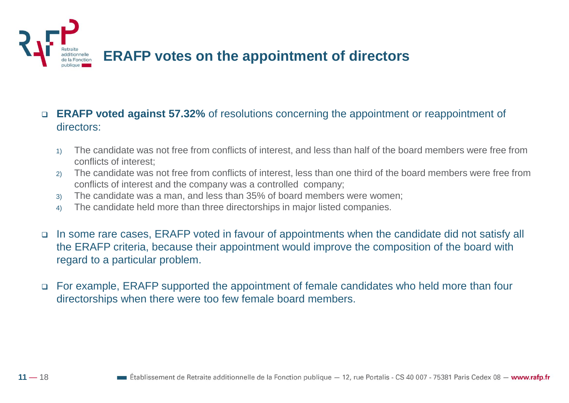

- **ERAFP voted against 57.32%** of resolutions concerning the appointment or reappointment of directors:
	- 1) The candidate was not free from conflicts of interest, and less than half of the board members were free from conflicts of interest;
	- 2) The candidate was not free from conflicts of interest, less than one third of the board members were free from conflicts of interest and the company was a controlled company;
	- 3) The candidate was a man, and less than 35% of board members were women;
	- 4) The candidate held more than three directorships in major listed companies.
- In some rare cases, ERAFP voted in favour of appointments when the candidate did not satisfy all the ERAFP criteria, because their appointment would improve the composition of the board with regard to a particular problem.
- For example, ERAFP supported the appointment of female candidates who held more than four directorships when there were too few female board members.

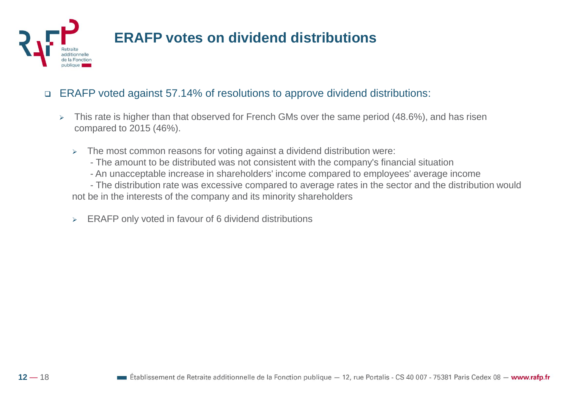

## **ERAFP votes on dividend distributions**

#### ERAFP voted against 57.14% of resolutions to approve dividend distributions:

- $\triangleright$  This rate is higher than that observed for French GMs over the same period (48.6%), and has risen compared to 2015 (46%).
	- $\geq$  The most common reasons for voting against a dividend distribution were:
		- The amount to be distributed was not consistent with the company's financial situation
		- An unacceptable increase in shareholders' income compared to employees' average income

- The distribution rate was excessive compared to average rates in the sector and the distribution would not be in the interests of the company and its minority shareholders

> ERAFP only voted in favour of 6 dividend distributions

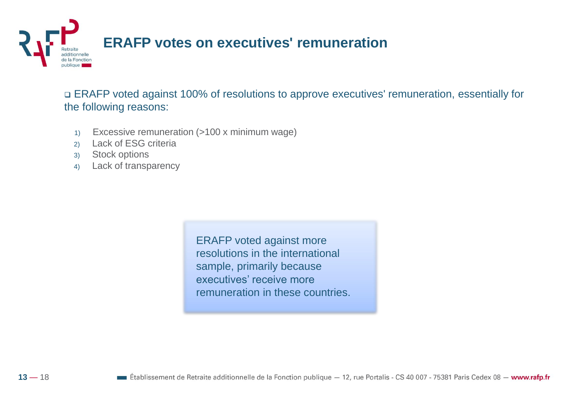

 ERAFP voted against 100% of resolutions to approve executives' remuneration, essentially for the following reasons:

- 1) Excessive remuneration (>100 x minimum wage)
- 2) Lack of ESG criteria
- 3) Stock options
- 4) Lack of transparency

ERAFP voted against more resolutions in the international sample, primarily because executives' receive more remuneration in these countries.